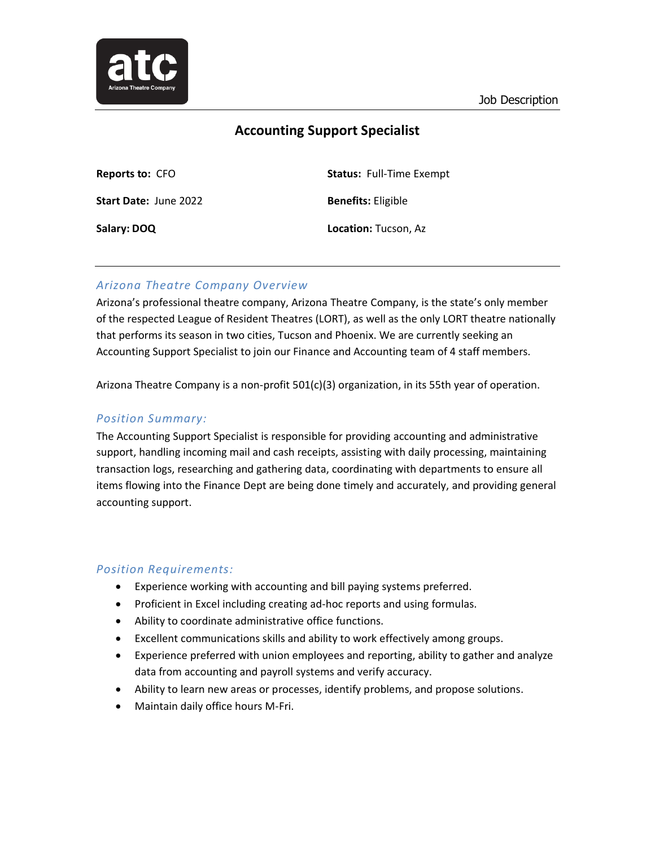

# **Accounting Support Specialist**

| <b>Reports to: CFO</b><br><b>Start Date: June 2022</b> | <b>Status: Full-Time Exempt</b> |  |
|--------------------------------------------------------|---------------------------------|--|
|                                                        | <b>Benefits:</b> Eligible       |  |
| Salary: DOQ                                            | <b>Location:</b> Tucson, Az     |  |

# *Arizona Theatre Company Overview*

Arizona's professional theatre company, Arizona Theatre Company, is the state's only member of the respected League of Resident Theatres (LORT), as well as the only LORT theatre nationally that performs its season in two cities, Tucson and Phoenix. We are currently seeking an Accounting Support Specialist to join our Finance and Accounting team of 4 staff members.

Arizona Theatre Company is a non-profit 501(c)(3) organization, in its 55th year of operation.

### *Position Summary:*

The Accounting Support Specialist is responsible for providing accounting and administrative support, handling incoming mail and cash receipts, assisting with daily processing, maintaining transaction logs, researching and gathering data, coordinating with departments to ensure all items flowing into the Finance Dept are being done timely and accurately, and providing general accounting support.

#### *Position Requirements:*

- Experience working with accounting and bill paying systems preferred.
- Proficient in Excel including creating ad-hoc reports and using formulas.
- Ability to coordinate administrative office functions.
- Excellent communications skills and ability to work effectively among groups.
- Experience preferred with union employees and reporting, ability to gather and analyze data from accounting and payroll systems and verify accuracy.
- Ability to learn new areas or processes, identify problems, and propose solutions.
- Maintain daily office hours M-Fri.